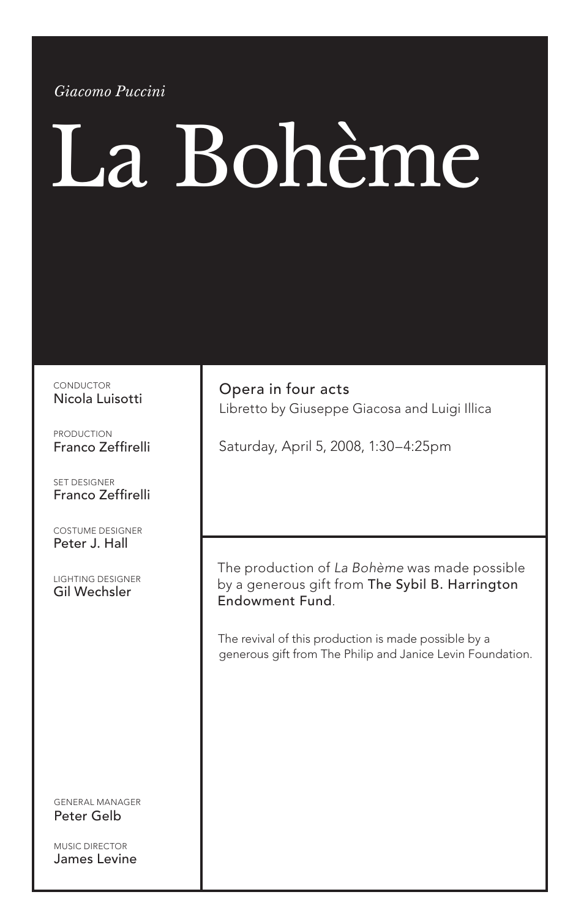*Giacomo Puccini*

# La Bohème

CONDUCTOR Nicola Luisotti

PRODUCTION Franco Zeffirelli

SET DESIGNER Franco Zeffirelli

COSTUME DESIGNER Peter J. Hall

LIGHTING DESIGNER Gil Wechsler

GENERAL MANAGER Peter Gelb

MUSIC DIRECTOR James Levine Opera in four acts Libretto by Giuseppe Giacosa and Luigi Illica

Saturday, April 5, 2008, 1:30–4:25pm

The production of *La Bohème* was made possible by a generous gift from The Sybil B. Harrington Endowment Fund.

The revival of this production is made possible by a generous gift from The Philip and Janice Levin Foundation.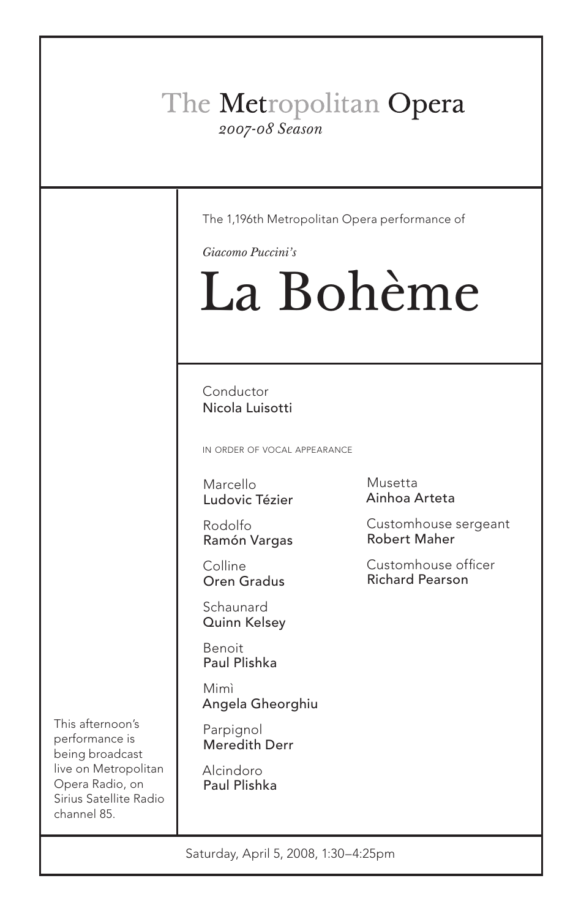| The Metropolitan Opera<br>2007-08 Season                                                                                                  |                                                                                                                                        |                                                                                                                          |
|-------------------------------------------------------------------------------------------------------------------------------------------|----------------------------------------------------------------------------------------------------------------------------------------|--------------------------------------------------------------------------------------------------------------------------|
|                                                                                                                                           | Giacomo Puccini's                                                                                                                      | The 1,196th Metropolitan Opera performance of<br>La Bohème                                                               |
|                                                                                                                                           | Conductor<br>Nicola Luisotti<br>IN ORDER OF VOCAL APPEARANCE                                                                           |                                                                                                                          |
|                                                                                                                                           | Marcello<br>Ludovic Tézier<br>Rodolfo<br>Ramón Vargas<br>Colline<br>Oren Gradus<br>Schaunard<br>Quinn Kelsey<br>Benoit<br>Paul Plishka | Musetta<br>Ainhoa Arteta<br>Customhouse sergeant<br><b>Robert Maher</b><br>Customhouse officer<br><b>Richard Pearson</b> |
| This afternoon's<br>performance is<br>being broadcast<br>live on Metropolitan<br>Opera Radio, on<br>Sirius Satellite Radio<br>channel 85. | Mimì<br>Angela Gheorghiu<br>Parpignol<br>Meredith Derr<br>Alcindoro<br>Paul Plishka                                                    |                                                                                                                          |

ı

ſ

Saturday, April 5, 2008, 1:30–4:25pm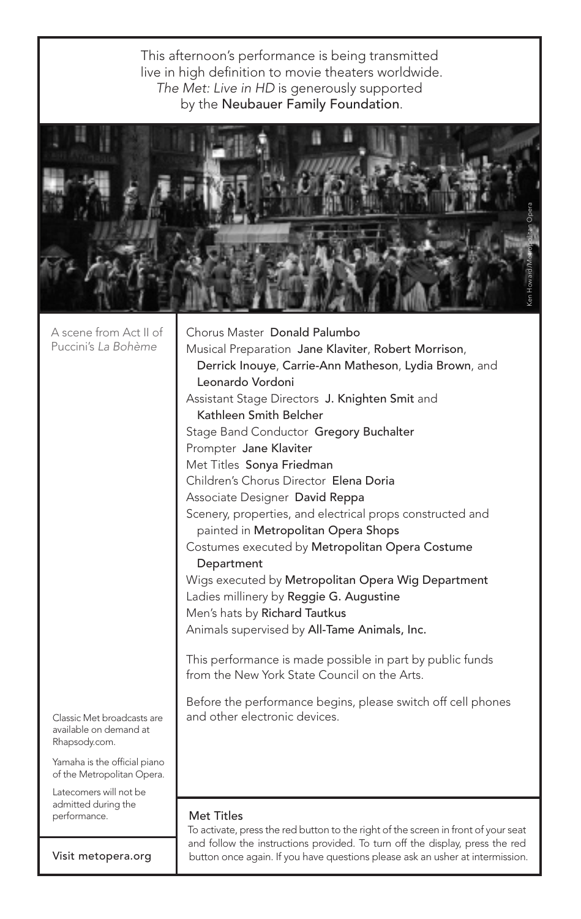|                                                                                                       | This afternoon's performance is being transmitted<br>live in high definition to movie theaters worldwide.<br>The Met: Live in HD is generously supported<br>by the Neubauer Family Foundation.                                                                                                                                                                                                                                                                                                                                                                                                                                                                                                                                                                                                                                                                                                                                                                |
|-------------------------------------------------------------------------------------------------------|---------------------------------------------------------------------------------------------------------------------------------------------------------------------------------------------------------------------------------------------------------------------------------------------------------------------------------------------------------------------------------------------------------------------------------------------------------------------------------------------------------------------------------------------------------------------------------------------------------------------------------------------------------------------------------------------------------------------------------------------------------------------------------------------------------------------------------------------------------------------------------------------------------------------------------------------------------------|
|                                                                                                       |                                                                                                                                                                                                                                                                                                                                                                                                                                                                                                                                                                                                                                                                                                                                                                                                                                                                                                                                                               |
| A scene from Act II of<br>Puccini's La Bohème                                                         | Chorus Master Donald Palumbo<br>Musical Preparation Jane Klaviter, Robert Morrison,<br>Derrick Inouye, Carrie-Ann Matheson, Lydia Brown, and<br>Leonardo Vordoni<br>Assistant Stage Directors J. Knighten Smit and<br>Kathleen Smith Belcher<br>Stage Band Conductor Gregory Buchalter<br>Prompter Jane Klaviter<br>Met Titles Sonya Friedman<br>Children's Chorus Director Elena Doria<br>Associate Designer David Reppa<br>Scenery, properties, and electrical props constructed and<br>painted in Metropolitan Opera Shops<br>Costumes executed by Metropolitan Opera Costume<br>Department<br>Wigs executed by Metropolitan Opera Wig Department<br>Ladies millinery by Reggie G. Augustine<br>Men's hats by Richard Tautkus<br>Animals supervised by All-Tame Animals, Inc.<br>This performance is made possible in part by public funds<br>from the New York State Council on the Arts.<br>Before the performance begins, please switch off cell phones |
| Classic Met broadcasts are<br>available on demand at<br>Rhapsody.com.<br>Yamaha is the official piano | and other electronic devices.                                                                                                                                                                                                                                                                                                                                                                                                                                                                                                                                                                                                                                                                                                                                                                                                                                                                                                                                 |
| of the Metropolitan Opera.                                                                            |                                                                                                                                                                                                                                                                                                                                                                                                                                                                                                                                                                                                                                                                                                                                                                                                                                                                                                                                                               |
| Latecomers will not be<br>admitted during the<br>performance.                                         | <b>Met Titles</b><br>To activate, press the red button to the right of the screen in front of your seat<br>and follow the instructions provided. To turn off the display, press the red                                                                                                                                                                                                                                                                                                                                                                                                                                                                                                                                                                                                                                                                                                                                                                       |
| Visit metopera.org                                                                                    | button once again. If you have questions please ask an usher at intermission.                                                                                                                                                                                                                                                                                                                                                                                                                                                                                                                                                                                                                                                                                                                                                                                                                                                                                 |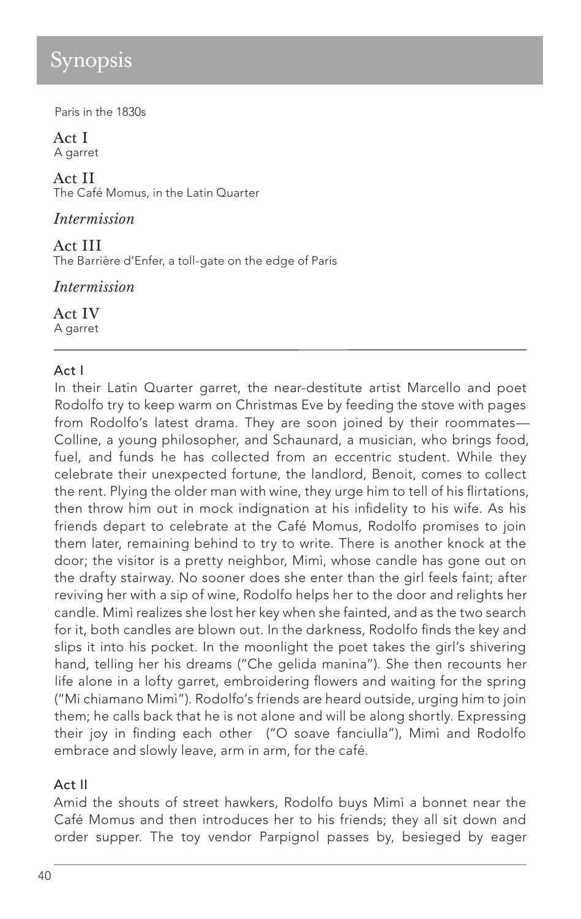## Synopsis

Paris in the 1830s

Act I A garret

Act II The Café Momus, in the Latin Quarter

#### *Intermission*

Act III The Barrière d'Enfer, a toll-gate on the edge of Paris

*Intermission*

Act IV A garret

#### Act I

In their Latin Quarter garret, the near-destitute artist Marcello and poet Rodolfo try to keep warm on Christmas Eve by feeding the stove with pages from Rodolfo's latest drama. They are soon joined by their roommates— Colline, a young philosopher, and Schaunard, a musician, who brings food, fuel, and funds he has collected from an eccentric student. While they celebrate their unexpected fortune, the landlord, Benoit, comes to collect the rent. Plying the older man with wine, they urge him to tell of his flirtations, then throw him out in mock indignation at his infidelity to his wife. As his friends depart to celebrate at the Café Momus, Rodolfo promises to join them later, remaining behind to try to write. There is another knock at the door; the visitor is a pretty neighbor, Mimì, whose candle has gone out on the drafty stairway. No sooner does she enter than the girl feels faint; after reviving her with a sip of wine, Rodolfo helps her to the door and relights her candle. Mimì realizes she lost her key when she fainted, and as the two search for it, both candles are blown out. In the darkness, Rodolfo finds the key and slips it into his pocket. In the moonlight the poet takes the girl's shivering hand, telling her his dreams ("Che gelida manina"). She then recounts her life alone in a lofty garret, embroidering flowers and waiting for the spring ("Mi chiamano Mimì"). Rodolfo's friends are heard outside, urging him to join them; he calls back that he is not alone and will be along shortly. Expressing their joy in finding each other ("O soave fanciulla"), Mimì and Rodolfo embrace and slowly leave, arm in arm, for the café.

#### Act II

Amid the shouts of street hawkers, Rodolfo buys Mimì a bonnet near the Café Momus and then introduces her to his friends; they all sit down and order supper. The toy vendor Parpignol passes by, besieged by eager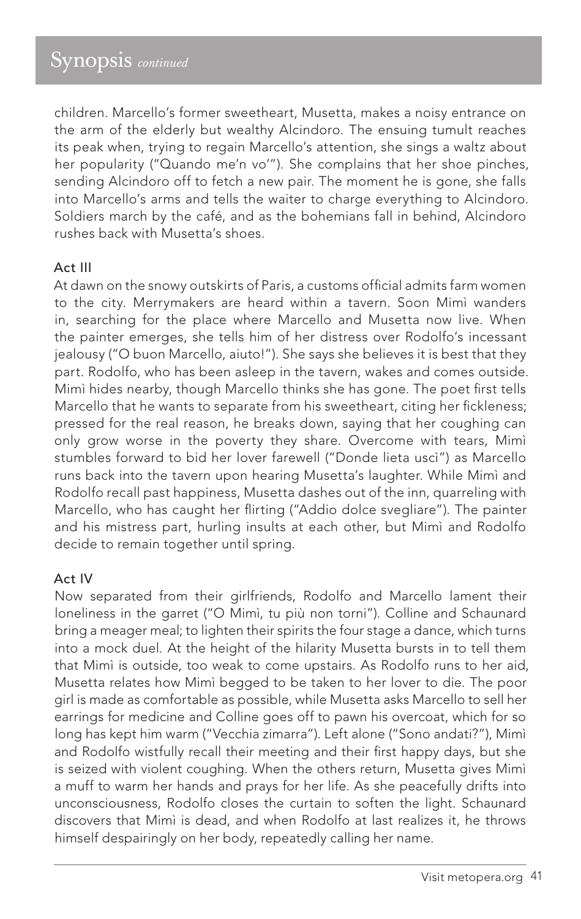children. Marcello's former sweetheart, Musetta, makes a noisy entrance on the arm of the elderly but wealthy Alcindoro. The ensuing tumult reaches its peak when, trying to regain Marcello's attention, she sings a waltz about her popularity ("Quando me'n vo'"). She complains that her shoe pinches, sending Alcindoro off to fetch a new pair. The moment he is gone, she falls into Marcello's arms and tells the waiter to charge everything to Alcindoro. Soldiers march by the café, and as the bohemians fall in behind, Alcindoro rushes back with Musetta's shoes.

#### Act III

At dawn on the snowy outskirts of Paris, a customs official admits farm women to the city. Merrymakers are heard within a tavern. Soon Mimì wanders in, searching for the place where Marcello and Musetta now live. When the painter emerges, she tells him of her distress over Rodolfo's incessant jealousy ("O buon Marcello, aiuto!"). She says she believes it is best that they part. Rodolfo, who has been asleep in the tavern, wakes and comes outside. Mimì hides nearby, though Marcello thinks she has gone. The poet first tells Marcello that he wants to separate from his sweetheart, citing her fickleness; pressed for the real reason, he breaks down, saying that her coughing can only grow worse in the poverty they share. Overcome with tears, Mimì stumbles forward to bid her lover farewell ("Donde lieta uscì") as Marcello runs back into the tavern upon hearing Musetta's laughter. While Mimì and Rodolfo recall past happiness, Musetta dashes out of the inn, quarreling with Marcello, who has caught her flirting ("Addio dolce svegliare"). The painter and his mistress part, hurling insults at each other, but Mimì and Rodolfo decide to remain together until spring.

#### Act IV

Now separated from their girlfriends, Rodolfo and Marcello lament their loneliness in the garret ("O Mimì, tu più non torni"). Colline and Schaunard bring a meager meal; to lighten their spirits the four stage a dance, which turns into a mock duel. At the height of the hilarity Musetta bursts in to tell them that Mimì is outside, too weak to come upstairs. As Rodolfo runs to her aid, Musetta relates how Mimì begged to be taken to her lover to die. The poor girl is made as comfortable as possible, while Musetta asks Marcello to sell her earrings for medicine and Colline goes off to pawn his overcoat, which for so long has kept him warm ("Vecchia zimarra"). Left alone ("Sono andati?"), Mimì and Rodolfo wistfully recall their meeting and their first happy days, but she is seized with violent coughing. When the others return, Musetta gives Mimì a muff to warm her hands and prays for her life. As she peacefully drifts into unconsciousness, Rodolfo closes the curtain to soften the light. Schaunard discovers that Mimì is dead, and when Rodolfo at last realizes it, he throws himself despairingly on her body, repeatedly calling her name.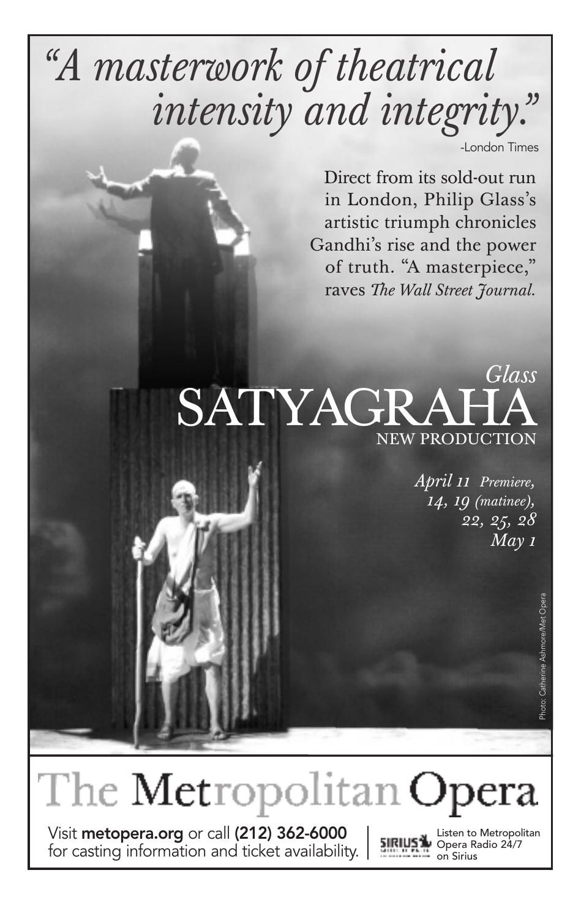# *"A masterwork of theatrical intensity and integrity."*

-London Times

Direct from its sold-out run in London, Philip Glass's artistic triumph chronicles Gandhi's rise and the power of truth. "A masterpiece," raves *The Wall Street Journal.*

# *Glass* SATYAGR NEW PRODUCTION

*April 11 Premiere, 14, 19 (matinee), 22, 25, 28 May 1*



Visit metopera.org or call (212) 362-6000 for casting information and ticket availability.

Listen to Metropolitan **SIRILIS & Cisceri to Metropol** on Sirius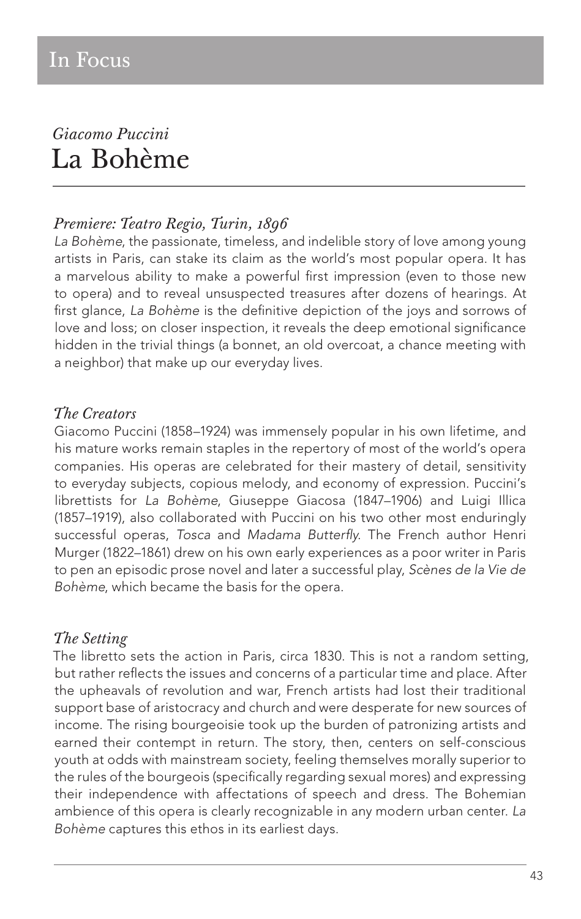# *Giacomo Puccini* La Bohème

#### *Premiere: Teatro Regio, Turin, 1896*

*La Bohème*, the passionate, timeless, and indelible story of love among young artists in Paris, can stake its claim as the world's most popular opera. It has a marvelous ability to make a powerful first impression (even to those new to opera) and to reveal unsuspected treasures after dozens of hearings. At first glance, *La Bohème* is the definitive depiction of the joys and sorrows of love and loss; on closer inspection, it reveals the deep emotional significance hidden in the trivial things (a bonnet, an old overcoat, a chance meeting with a neighbor) that make up our everyday lives.

#### *The Creators*

Giacomo Puccini (1858–1924) was immensely popular in his own lifetime, and his mature works remain staples in the repertory of most of the world's opera companies. His operas are celebrated for their mastery of detail, sensitivity to everyday subjects, copious melody, and economy of expression. Puccini's librettists for *La Bohème*, Giuseppe Giacosa (1847–1906) and Luigi Illica (1857–1919), also collaborated with Puccini on his two other most enduringly successful operas, *Tosca* and *Madama Butterfly*. The French author Henri Murger (1822–1861) drew on his own early experiences as a poor writer in Paris to pen an episodic prose novel and later a successful play, *Scènes de la Vie de Bohème*, which became the basis for the opera.

#### *The Setting*

The libretto sets the action in Paris, circa 1830. This is not a random setting, but rather reflects the issues and concerns of a particular time and place. After the upheavals of revolution and war, French artists had lost their traditional support base of aristocracy and church and were desperate for new sources of income. The rising bourgeoisie took up the burden of patronizing artists and earned their contempt in return. The story, then, centers on self-conscious youth at odds with mainstream society, feeling themselves morally superior to the rules of the bourgeois (specifically regarding sexual mores) and expressing their independence with affectations of speech and dress. The Bohemian ambience of this opera is clearly recognizable in any modern urban center. *La Bohème* captures this ethos in its earliest days.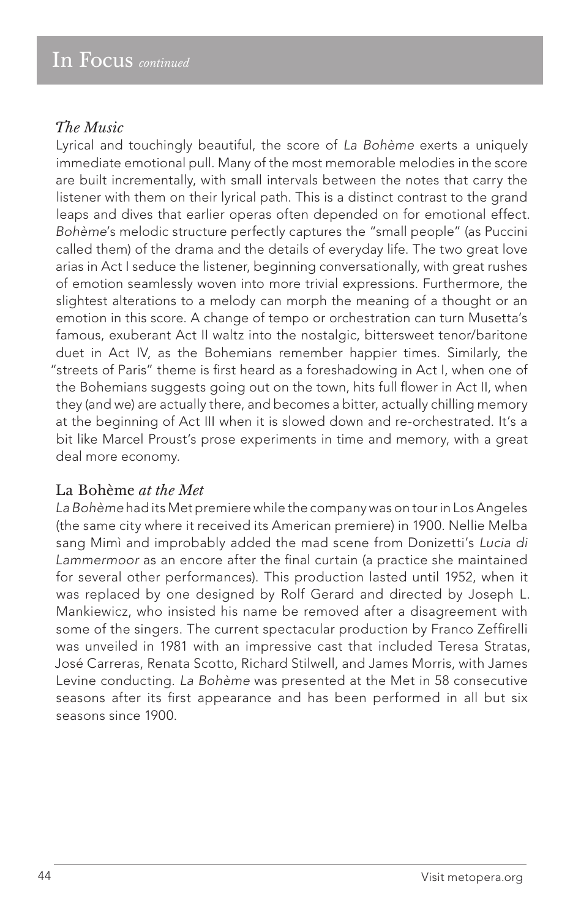#### *The Music*

Lyrical and touchingly beautiful, the score of *La Bohème* exerts a uniquely immediate emotional pull. Many of the most memorable melodies in the score are built incrementally, with small intervals between the notes that carry the listener with them on their lyrical path. This is a distinct contrast to the grand leaps and dives that earlier operas often depended on for emotional effect. *Bohème*'s melodic structure perfectly captures the "small people" (as Puccini called them) of the drama and the details of everyday life. The two great love arias in Act I seduce the listener, beginning conversationally, with great rushes of emotion seamlessly woven into more trivial expressions. Furthermore, the slightest alterations to a melody can morph the meaning of a thought or an emotion in this score. A change of tempo or orchestration can turn Musetta's famous, exuberant Act II waltz into the nostalgic, bittersweet tenor/baritone duet in Act IV, as the Bohemians remember happier times. Similarly, the "streets of Paris" theme is first heard as a foreshadowing in Act I, when one of the Bohemians suggests going out on the town, hits full flower in Act II, when they (and we) are actually there, and becomes a bitter, actually chilling memory at the beginning of Act III when it is slowed down and re-orchestrated. It's a bit like Marcel Proust's prose experiments in time and memory, with a great deal more economy.

#### La Bohème *at the Met*

*La Bohème* had its Met premiere while the company was on tour in Los Angeles (the same city where it received its American premiere) in 1900. Nellie Melba sang Mimì and improbably added the mad scene from Donizetti's *Lucia di Lammermoor* as an encore after the final curtain (a practice she maintained for several other performances). This production lasted until 1952, when it was replaced by one designed by Rolf Gerard and directed by Joseph L. Mankiewicz, who insisted his name be removed after a disagreement with some of the singers. The current spectacular production by Franco Zeffirelli was unveiled in 1981 with an impressive cast that included Teresa Stratas, José Carreras, Renata Scotto, Richard Stilwell, and James Morris, with James Levine conducting. *La Bohème* was presented at the Met in 58 consecutive seasons after its first appearance and has been performed in all but six seasons since 1900.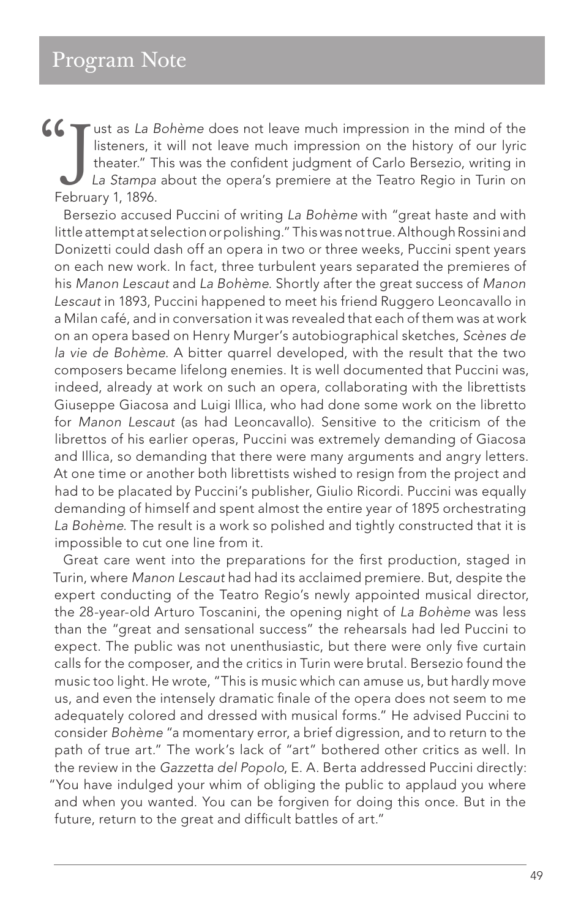**1988 Set The School Set School Set School Set School Set School Set School Set School Set School Set School Set School Set School Set School Set School Set School Set School Set School Set School Set School Set School Set** listeners, it will not leave much impression on the history of our lyric theater." This was the confident judgment of Carlo Bersezio, writing in *La Stampa* about the opera's premiere at the Teatro Regio in Turin on February 1, 1896.

Bersezio accused Puccini of writing *La Bohème* with "great haste and with little attempt at selection or polishing." This was not true. Although Rossini and Donizetti could dash off an opera in two or three weeks, Puccini spent years on each new work. In fact, three turbulent years separated the premieres of his *Manon Lescaut* and *La Bohème*. Shortly after the great success of *Manon Lescaut* in 1893, Puccini happened to meet his friend Ruggero Leoncavallo in a Milan café, and in conversation it was revealed that each of them was at work on an opera based on Henry Murger's autobiographical sketches, *Scènes de la vie de Bohème*. A bitter quarrel developed, with the result that the two composers became lifelong enemies. It is well documented that Puccini was, indeed, already at work on such an opera, collaborating with the librettists Giuseppe Giacosa and Luigi Illica, who had done some work on the libretto for *Manon Lescaut* (as had Leoncavallo). Sensitive to the criticism of the librettos of his earlier operas, Puccini was extremely demanding of Giacosa and Illica, so demanding that there were many arguments and angry letters. At one time or another both librettists wished to resign from the project and had to be placated by Puccini's publisher, Giulio Ricordi. Puccini was equally demanding of himself and spent almost the entire year of 1895 orchestrating *La Bohème*. The result is a work so polished and tightly constructed that it is impossible to cut one line from it.

Great care went into the preparations for the first production, staged in Turin, where *Manon Lescaut* had had its acclaimed premiere. But, despite the expert conducting of the Teatro Regio's newly appointed musical director, the 28-year-old Arturo Toscanini, the opening night of *La Bohème* was less than the "great and sensational success" the rehearsals had led Puccini to expect. The public was not unenthusiastic, but there were only five curtain calls for the composer, and the critics in Turin were brutal. Bersezio found the music too light. He wrote, "This is music which can amuse us, but hardly move us, and even the intensely dramatic finale of the opera does not seem to me adequately colored and dressed with musical forms." He advised Puccini to consider *Bohème* "a momentary error, a brief digression, and to return to the path of true art." The work's lack of "art" bothered other critics as well. In the review in the *Gazzetta del Popolo*, E. A. Berta addressed Puccini directly: "You have indulged your whim of obliging the public to applaud you where and when you wanted. You can be forgiven for doing this once. But in the future, return to the great and difficult battles of art."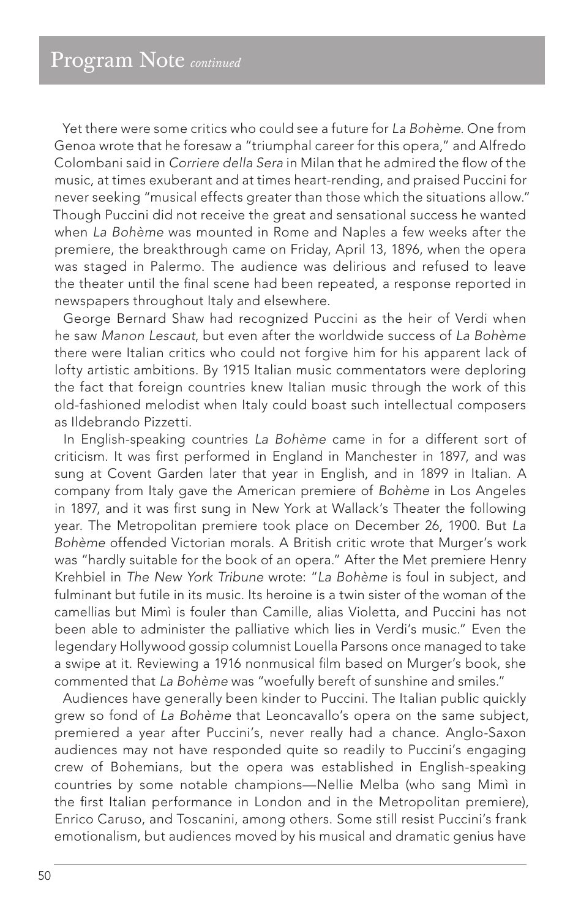Yet there were some critics who could see a future for *La Bohème*. One from Genoa wrote that he foresaw a "triumphal career for this opera," and Alfredo Colombani said in *Corriere della Sera* in Milan that he admired the flow of the music, at times exuberant and at times heart-rending, and praised Puccini for never seeking "musical effects greater than those which the situations allow." Though Puccini did not receive the great and sensational success he wanted when *La Bohème* was mounted in Rome and Naples a few weeks after the premiere, the breakthrough came on Friday, April 13, 1896, when the opera was staged in Palermo. The audience was delirious and refused to leave the theater until the final scene had been repeated, a response reported in newspapers throughout Italy and elsewhere.

George Bernard Shaw had recognized Puccini as the heir of Verdi when he saw *Manon Lescaut*, but even after the worldwide success of *La Bohème* there were Italian critics who could not forgive him for his apparent lack of lofty artistic ambitions. By 1915 Italian music commentators were deploring the fact that foreign countries knew Italian music through the work of this old-fashioned melodist when Italy could boast such intellectual composers as Ildebrando Pizzetti.

In English-speaking countries *La Bohème* came in for a different sort of criticism. It was first performed in England in Manchester in 1897, and was sung at Covent Garden later that year in English, and in 1899 in Italian. A company from Italy gave the American premiere of *Bohème* in Los Angeles in 1897, and it was first sung in New York at Wallack's Theater the following year. The Metropolitan premiere took place on December 26, 1900. But *La Bohème* offended Victorian morals. A British critic wrote that Murger's work was "hardly suitable for the book of an opera." After the Met premiere Henry Krehbiel in *The New York Tribune* wrote: "*La Bohème* is foul in subject, and fulminant but futile in its music. Its heroine is a twin sister of the woman of the camellias but Mimì is fouler than Camille, alias Violetta, and Puccini has not been able to administer the palliative which lies in Verdi's music." Even the legendary Hollywood gossip columnist Louella Parsons once managed to take a swipe at it. Reviewing a 1916 nonmusical film based on Murger's book, she commented that *La Bohème* was "woefully bereft of sunshine and smiles."

Audiences have generally been kinder to Puccini. The Italian public quickly grew so fond of *La Bohème* that Leoncavallo's opera on the same subject, premiered a year after Puccini's, never really had a chance. Anglo-Saxon audiences may not have responded quite so readily to Puccini's engaging crew of Bohemians, but the opera was established in English-speaking countries by some notable champions—Nellie Melba (who sang Mimì in the first Italian performance in London and in the Metropolitan premiere), Enrico Caruso, and Toscanini, among others. Some still resist Puccini's frank emotionalism, but audiences moved by his musical and dramatic genius have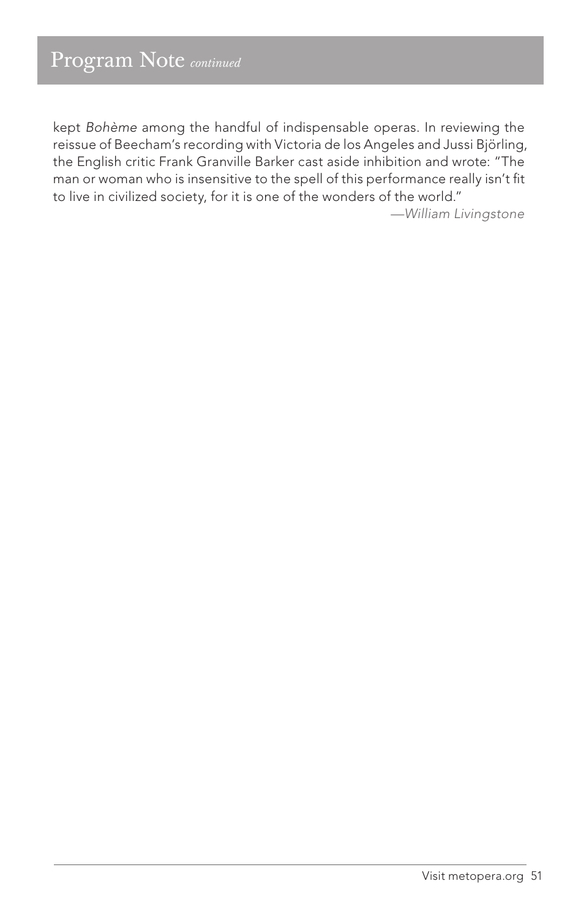## Program Note *continued*

kept *Bohème* among the handful of indispensable operas. In reviewing the reissue of Beecham's recording with Victoria de los Angeles and Jussi Björling, the English critic Frank Granville Barker cast aside inhibition and wrote: "The man or woman who is insensitive to the spell of this performance really isn't fit to live in civilized society, for it is one of the wonders of the world."

*—William Livingstone*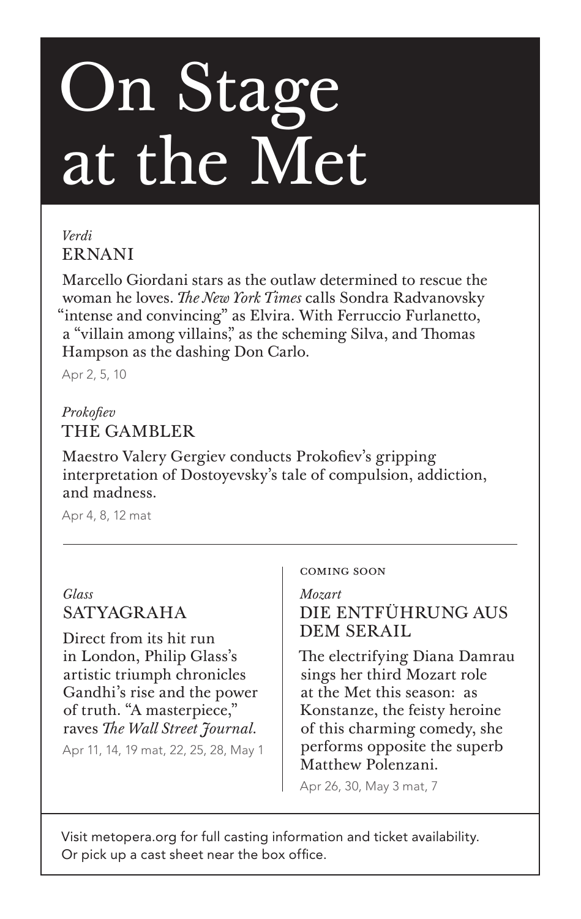# On Stage at the Met

#### *Verdi* ERNANI

Marcello Giordani stars as the outlaw determined to rescue the woman he loves. *The New York Times* calls Sondra Radvanovsky "intense and convincing" as Elvira. With Ferruccio Furlanetto, a "villain among villains," as the scheming Silva, and Thomas Hampson as the dashing Don Carlo.

Apr 2, 5, 10

#### *Prokofiev* THE GAMBLER

Maestro Valery Gergiev conducts Prokofiev's gripping interpretation of Dostoyevsky's tale of compulsion, addiction, and madness.

Apr 4, 8, 12 mat

#### *Glass*  SATYAGRAHA

Direct from its hit run in London, Philip Glass's artistic triumph chronicles Gandhi's rise and the power of truth. "A masterpiece," raves *The Wall Street 'fournal*.

Apr 11, 14, 19 mat, 22, 25, 28, May 1

COMING SOON

*Mozart*  DIE ENTFÜHRUNG AUS DEM SERAIL

The electrifying Diana Damrau sings her third Mozart role at the Met this season: as Konstanze, the feisty heroine of this charming comedy, she performs opposite the superb Matthew Polenzani.

Apr 26, 30, May 3 mat, 7

Visit metopera.org for full casting information and ticket availability. Or pick up a cast sheet near the box office.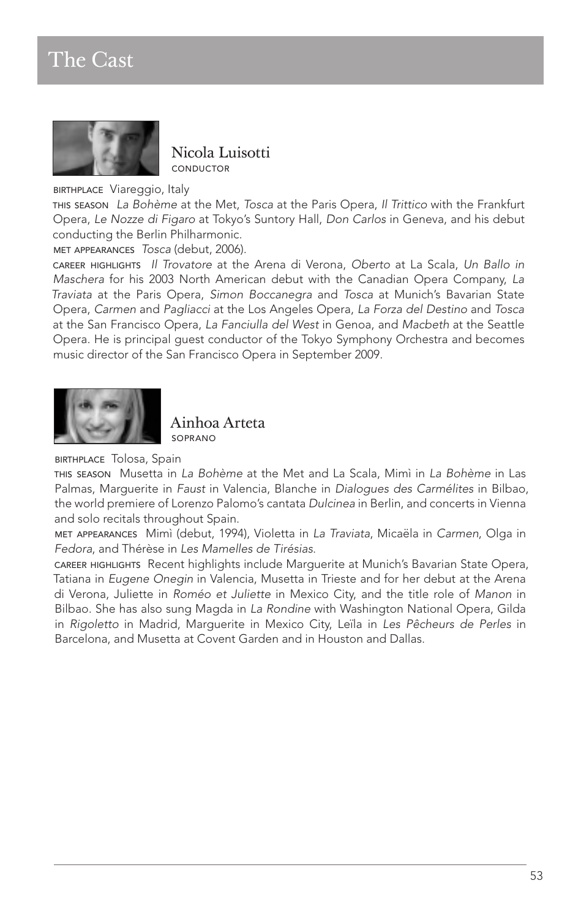## The Cast



Nicola Luisotti conductor

BIRTHPLACE Viareggio, Italy

this season *La Bohème* at the Met, *Tosca* at the Paris Opera, *Il Trittico* with the Frankfurt Opera, *Le Nozze di Figaro* at Tokyo's Suntory Hall, *Don Carlos* in Geneva, and his debut conducting the Berlin Philharmonic.

met appearances *Tosca* (debut, 2006).

career highlights *Il Trovatore* at the Arena di Verona, *Oberto* at La Scala, *Un Ballo in Maschera* for his 2003 North American debut with the Canadian Opera Company, *La Traviata* at the Paris Opera, *Simon Boccanegra* and *Tosca* at Munich's Bavarian State Opera, *Carmen* and *Pagliacci* at the Los Angeles Opera, *La Forza del Destino* and *Tosca* at the San Francisco Opera, *La Fanciulla del West* in Genoa, and *Macbeth* at the Seattle Opera. He is principal guest conductor of the Tokyo Symphony Orchestra and becomes music director of the San Francisco Opera in September 2009.



Ainhoa Arteta soprano

BIRTHPLACE Tolosa, Spain

this season Musetta in *La Bohème* at the Met and La Scala, Mimì in *La Bohème* in Las Palmas, Marguerite in *Faust* in Valencia, Blanche in *Dialogues des Carmélites* in Bilbao, the world premiere of Lorenzo Palomo's cantata *Dulcinea* in Berlin, and concerts in Vienna and solo recitals throughout Spain.

met appearances Mimì (debut, 1994), Violetta in *La Traviata*, Micaëla in *Carmen*, Olga in *Fedora*, and Thérèse in *Les Mamelles de Tirésias*.

career highlights Recent highlights include Marguerite at Munich's Bavarian State Opera, Tatiana in *Eugene Onegin* in Valencia, Musetta in Trieste and for her debut at the Arena di Verona, Juliette in *Roméo et Juliette* in Mexico City, and the title role of *Manon* in Bilbao. She has also sung Magda in *La Rondine* with Washington National Opera, Gilda in *Rigoletto* in Madrid, Marguerite in Mexico City, Leïla in *Les Pêcheurs de Perles* in Barcelona, and Musetta at Covent Garden and in Houston and Dallas.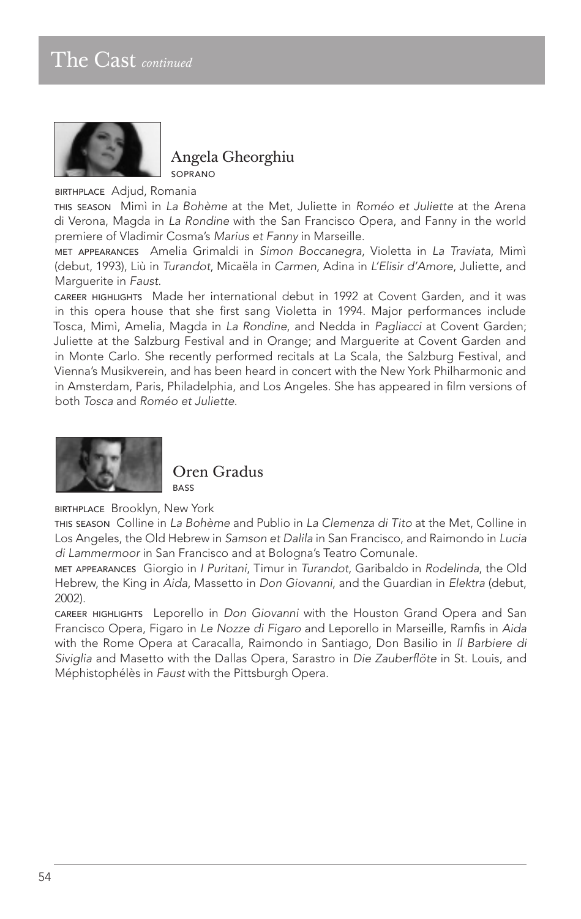

Angela Gheorghiu soprano

BIRTHPLACE Adjud, Romania

this season Mimì in *La Bohème* at the Met, Juliette in *Roméo et Juliette* at the Arena di Verona, Magda in *La Rondine* with the San Francisco Opera, and Fanny in the world premiere of Vladimir Cosma's *Marius et Fanny* in Marseille.

met appearances Amelia Grimaldi in *Simon Boccanegra*, Violetta in *La Traviata*, Mimì (debut, 1993), Liù in *Turandot*, Micaëla in *Carmen*, Adina in *L'Elisir d'Amore*, Juliette, and Marguerite in *Faust*.

career highlights Made her international debut in 1992 at Covent Garden, and it was in this opera house that she first sang Violetta in 1994. Major performances include Tosca, Mimì, Amelia, Magda in *La Rondine*, and Nedda in *Pagliacci* at Covent Garden; Juliette at the Salzburg Festival and in Orange; and Marguerite at Covent Garden and in Monte Carlo. She recently performed recitals at La Scala, the Salzburg Festival, and Vienna's Musikverein, and has been heard in concert with the New York Philharmonic and in Amsterdam, Paris, Philadelphia, and Los Angeles. She has appeared in film versions of both *Tosca* and *Roméo et Juliette*.



Oren Gradus **BASS** 

birthplace Brooklyn, New York

this season Colline in *La Bohème* and Publio in *La Clemenza di Tito* at the Met, Colline in Los Angeles, the Old Hebrew in *Samson et Dalila* in San Francisco, and Raimondo in *Lucia di Lammermoor* in San Francisco and at Bologna's Teatro Comunale.

met appearances Giorgio in *I Puritani*, Timur in *Turandot*, Garibaldo in *Rodelinda*, the Old Hebrew, the King in *Aida*, Massetto in *Don Giovanni*, and the Guardian in *Elektra* (debut, 2002).

career highlights Leporello in *Don Giovanni* with the Houston Grand Opera and San Francisco Opera, Figaro in *Le Nozze di Figaro* and Leporello in Marseille, Ramfis in *Aida* with the Rome Opera at Caracalla, Raimondo in Santiago, Don Basilio in *Il Barbiere di Siviglia* and Masetto with the Dallas Opera, Sarastro in *Die Zauberflöte* in St. Louis, and Méphistophélès in *Faust* with the Pittsburgh Opera.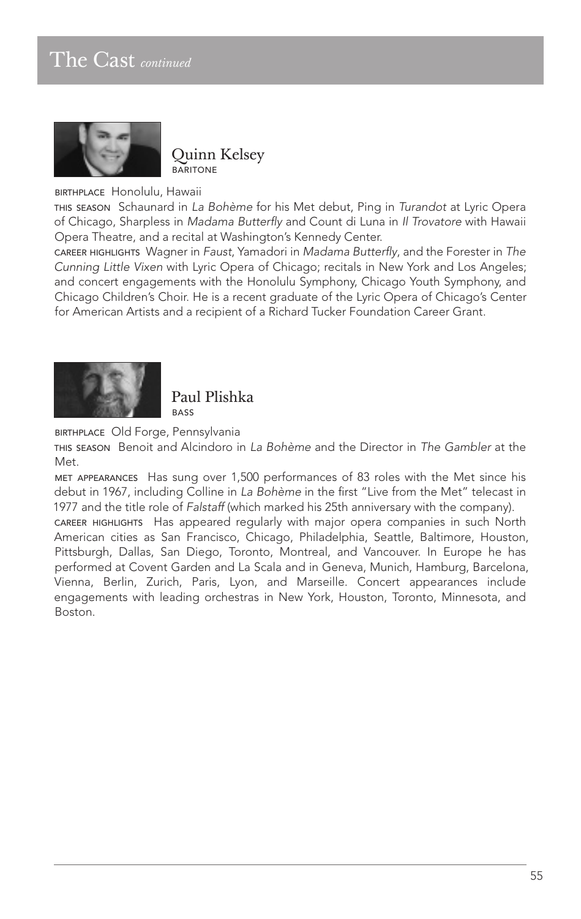

Quinn Kelsey **BARITONE** 

BIRTHPLACE Honolulu, Hawaii

this season Schaunard in *La Bohème* for his Met debut, Ping in *Turandot* at Lyric Opera of Chicago, Sharpless in *Madama Butterfly* and Count di Luna in *Il Trovatore* with Hawaii Opera Theatre, and a recital at Washington's Kennedy Center.

career highlights Wagner in *Faust*, Yamadori in *Madama Butterfly*, and the Forester in *The Cunning Little Vixen* with Lyric Opera of Chicago; recitals in New York and Los Angeles; and concert engagements with the Honolulu Symphony, Chicago Youth Symphony, and Chicago Children's Choir. He is a recent graduate of the Lyric Opera of Chicago's Center for American Artists and a recipient of a Richard Tucker Foundation Career Grant.



Paul Plishka **BASS** 

BIRTHPLACE Old Forge, Pennsylvania

this season Benoit and Alcindoro in *La Bohème* and the Director in *The Gambler* at the Met.

met appearances Has sung over 1,500 performances of 83 roles with the Met since his debut in 1967, including Colline in *La Bohème* in the first "Live from the Met" telecast in 1977 and the title role of *Falstaff* (which marked his 25th anniversary with the company).

career highlights Has appeared regularly with major opera companies in such North American cities as San Francisco, Chicago, Philadelphia, Seattle, Baltimore, Houston, Pittsburgh, Dallas, San Diego, Toronto, Montreal, and Vancouver. In Europe he has performed at Covent Garden and La Scala and in Geneva, Munich, Hamburg, Barcelona, Vienna, Berlin, Zurich, Paris, Lyon, and Marseille. Concert appearances include engagements with leading orchestras in New York, Houston, Toronto, Minnesota, and Boston.